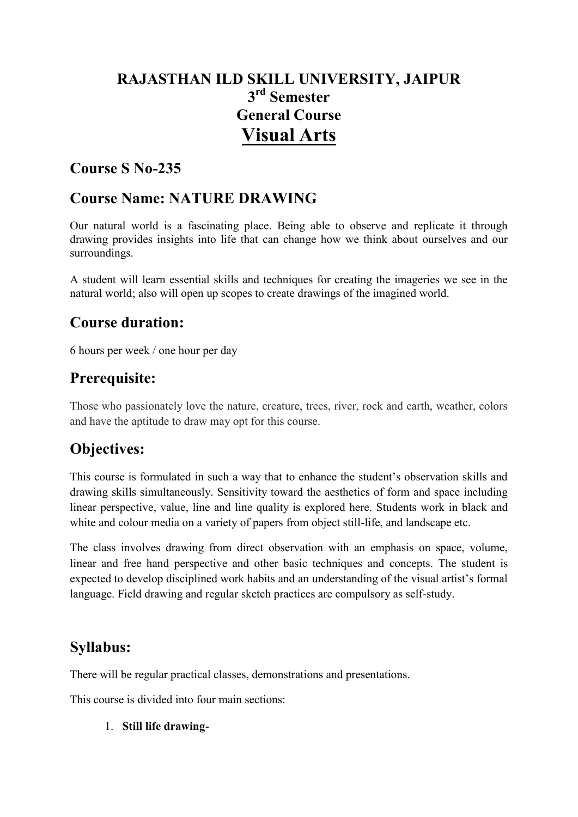# **RAJASTHAN ILD SKILL UNIVERSITY, JAIPUR 3 rd Semester General Course Visual Arts**

### **Course S No-235**

### **Course Name: NATURE DRAWING**

Our natural world is a fascinating place. Being able to observe and replicate it through drawing provides insights into life that can change how we think about ourselves and our surroundings.

A student will learn essential skills and techniques for creating the imageries we see in the natural world; also will open up scopes to create drawings of the imagined world.

### **Course duration:**

6 hours per week / one hour per day

### **Prerequisite:**

Those who passionately love the nature, creature, trees, river, rock and earth, weather, colors and have the aptitude to draw may opt for this course.

### **Objectives:**

This course is formulated in such a way that to enhance the student's observation skills and drawing skills simultaneously. Sensitivity toward the aesthetics of form and space including linear perspective, value, line and line quality is explored here. Students work in black and white and colour media on a variety of papers from object still-life, and landscape etc.

The class involves drawing from direct observation with an emphasis on space, volume, linear and free hand perspective and other basic techniques and concepts. The student is expected to develop disciplined work habits and an understanding of the visual artist's formal language. Field drawing and regular sketch practices are compulsory as self-study.

# **Syllabus:**

There will be regular practical classes, demonstrations and presentations.

This course is divided into four main sections:

#### 1. **Still life drawing**-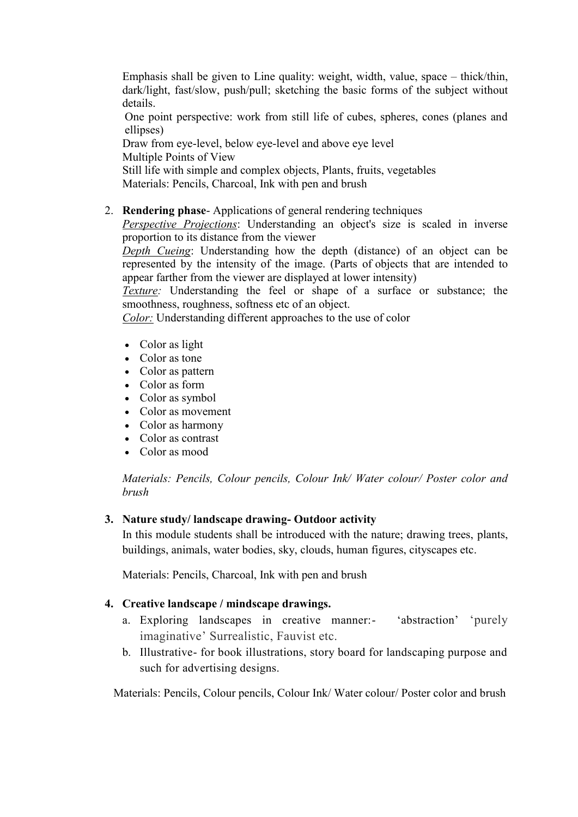Emphasis shall be given to Line quality: weight, width, value, space – thick/thin, dark/light, fast/slow, push/pull; sketching the basic forms of the subject without details.

One point perspective: work from still life of cubes, spheres, cones (planes and ellipses)

Draw from eye-level, below eye-level and above eye level

Multiple Points of View

Still life with simple and complex objects, Plants, fruits, vegetables

Materials: Pencils, Charcoal, Ink with pen and brush

### 2. **Rendering phase**- Applications of general rendering techniques

*Perspective Projections*: Understanding an object's size is scaled in inverse proportion to its distance from the viewer

*Depth Cueing*: Understanding how the depth (distance) of an object can be represented by the intensity of the image. (Parts of objects that are intended to appear farther from the viewer are displayed at lower intensity)

*Texture:* Understanding the feel or shape of a surface or substance; the smoothness, roughness, softness etc of an object.

*Color:* Understanding different approaches to the use of color

- Color as light
- Color as tone
- Color as pattern
- Color as form
- Color as symbol
- Color as movement
- Color as harmony
- Color as contrast
- Color as mood

*Materials: Pencils, Colour pencils, Colour Ink/ Water colour/ Poster color and brush*

#### **3. Nature study/ landscape drawing- Outdoor activity**

In this module students shall be introduced with the nature; drawing trees, plants, buildings, animals, water bodies, sky, clouds, human figures, cityscapes etc.

Materials: Pencils, Charcoal, Ink with pen and brush

#### **4. Creative landscape / mindscape drawings.**

- a. Exploring landscapes in creative manner:- 'abstraction' 'purely imaginative' Surrealistic, Fauvist etc.
- b. Illustrative- for book illustrations, story board for landscaping purpose and such for advertising designs.

Materials: Pencils, Colour pencils, Colour Ink/ Water colour/ Poster color and brush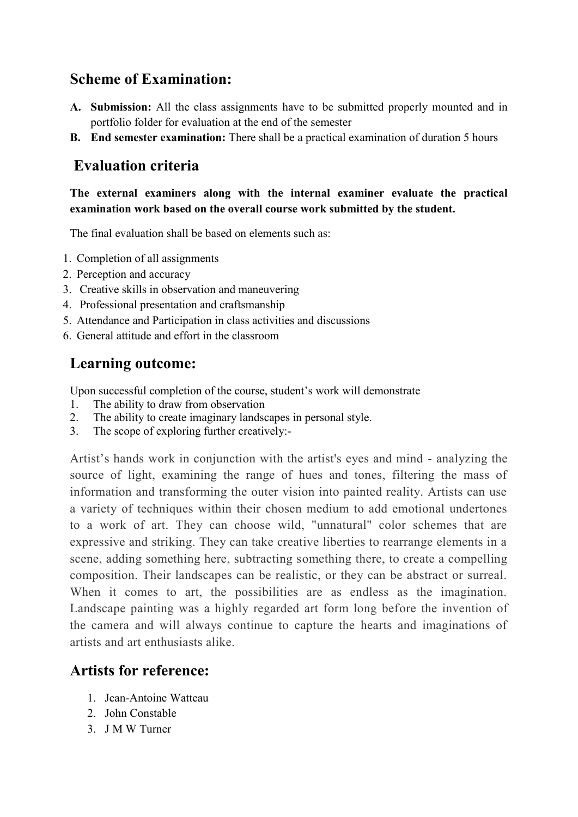### **Scheme of Examination:**

- **A. Submission:** All the class assignments have to be submitted properly mounted and in portfolio folder for evaluation at the end of the semester
- **B. End semester examination:** There shall be a practical examination of duration 5 hours

### **Evaluation criteria**

### **The external examiners along with the internal examiner evaluate the practical examination work based on the overall course work submitted by the student.**

The final evaluation shall be based on elements such as:

- 1. Completion of all assignments
- 2. Perception and accuracy
- 3. Creative skills in observation and maneuvering
- 4. Professional presentation and craftsmanship
- 5. Attendance and Participation in class activities and discussions
- 6. General attitude and effort in the classroom

# **Learning outcome:**

Upon successful completion of the course, student's work will demonstrate

- 1. The ability to draw from observation
- 2. The ability to create imaginary landscapes in personal style.
- 3. The scope of exploring further creatively:-

Artist's hands work in conjunction with the artist's eyes and mind - analyzing the source of light, examining the range of hues and tones, filtering the mass of information and transforming the outer vision into painted reality. Artists can use a variety of techniques within their chosen medium to add emotional undertones to a work of art. They can choose wild, "unnatural" color schemes that are expressive and striking. They can take creative liberties to rearrange elements in a scene, adding something here, subtracting something there, to create a compelling composition. Their landscapes can be realistic, or they can be abstract or surreal. When it comes to art, the possibilities are as endless as the imagination. Landscape painting was a highly regarded art form long before the invention of the camera and will always continue to capture the hearts and imaginations of artists and art enthusiasts alike.

### **Artists for reference:**

- 1. Jean-Antoine Watteau
- 2. John Constable
- 3. J M W Turner